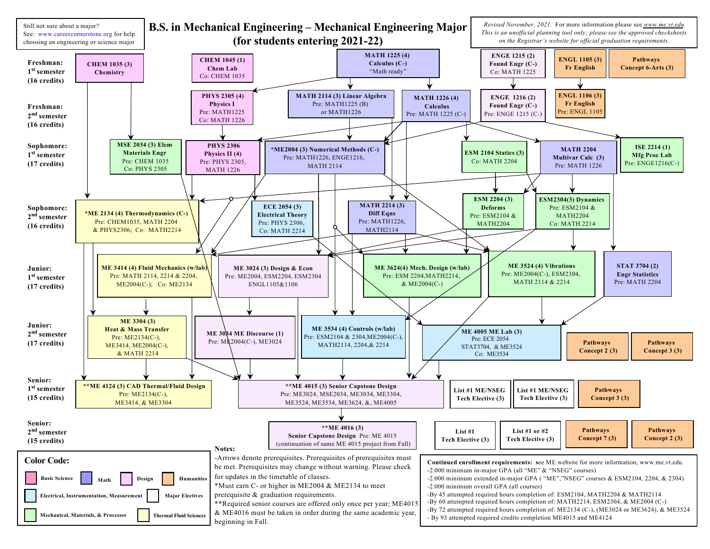